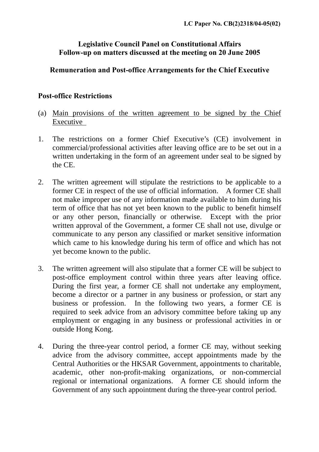## **Legislative Council Panel on Constitutional Affairs Follow-up on matters discussed at the meeting on 20 June 2005**

## **Remuneration and Post-office Arrangements for the Chief Executive**

## **Post-office Restrictions**

- (a) Main provisions of the written agreement to be signed by the Chief Executive
- 1. The restrictions on a former Chief Executive's (CE) involvement in commercial/professional activities after leaving office are to be set out in a written undertaking in the form of an agreement under seal to be signed by the CE.
- 2. The written agreement will stipulate the restrictions to be applicable to a former CE in respect of the use of official information. A former CE shall not make improper use of any information made available to him during his term of office that has not yet been known to the public to benefit himself or any other person, financially or otherwise. Except with the prior written approval of the Government, a former CE shall not use, divulge or communicate to any person any classified or market sensitive information which came to his knowledge during his term of office and which has not yet become known to the public.
- 3. The written agreement will also stipulate that a former CE will be subject to post-office employment control within three years after leaving office. During the first year, a former CE shall not undertake any employment, become a director or a partner in any business or profession, or start any business or profession. In the following two years, a former CE is required to seek advice from an advisory committee before taking up any employment or engaging in any business or professional activities in or outside Hong Kong.
- 4. During the three-year control period, a former CE may, without seeking advice from the advisory committee, accept appointments made by the Central Authorities or the HKSAR Government, appointments to charitable, academic, other non-profit-making organizations, or non-commercial regional or international organizations. A former CE should inform the Government of any such appointment during the three-year control period.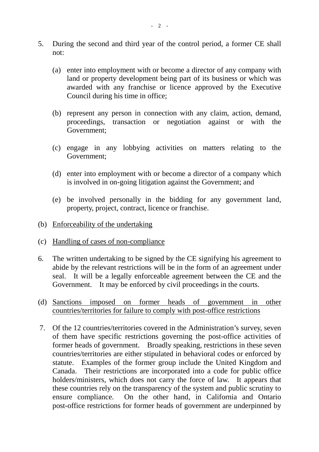- 5. During the second and third year of the control period, a former CE shall not:
	- (a) enter into employment with or become a director of any company with land or property development being part of its business or which was awarded with any franchise or licence approved by the Executive Council during his time in office;
	- (b) represent any person in connection with any claim, action, demand, proceedings, transaction or negotiation against or with the Government;
	- (c) engage in any lobbying activities on matters relating to the Government;
	- (d) enter into employment with or become a director of a company which is involved in on-going litigation against the Government; and
	- (e) be involved personally in the bidding for any government land, property, project, contract, licence or franchise.
- (b) Enforceability of the undertaking
- (c) Handling of cases of non-compliance
- 6. The written undertaking to be signed by the CE signifying his agreement to abide by the relevant restrictions will be in the form of an agreement under seal. It will be a legally enforceable agreement between the CE and the Government. It may be enforced by civil proceedings in the courts.
- (d) Sanctions imposed on former heads of government in other countries/territories for failure to comply with post-office restrictions
- 7. Of the 12 countries/territories covered in the Administration's survey, seven of them have specific restrictions governing the post-office activities of former heads of government. Broadly speaking, restrictions in these seven countries/territories are either stipulated in behavioral codes or enforced by statute. Examples of the former group include the United Kingdom and Canada. Their restrictions are incorporated into a code for public office holders/ministers, which does not carry the force of law. It appears that these countries rely on the transparency of the system and public scrutiny to ensure compliance. On the other hand, in California and Ontario post-office restrictions for former heads of government are underpinned by